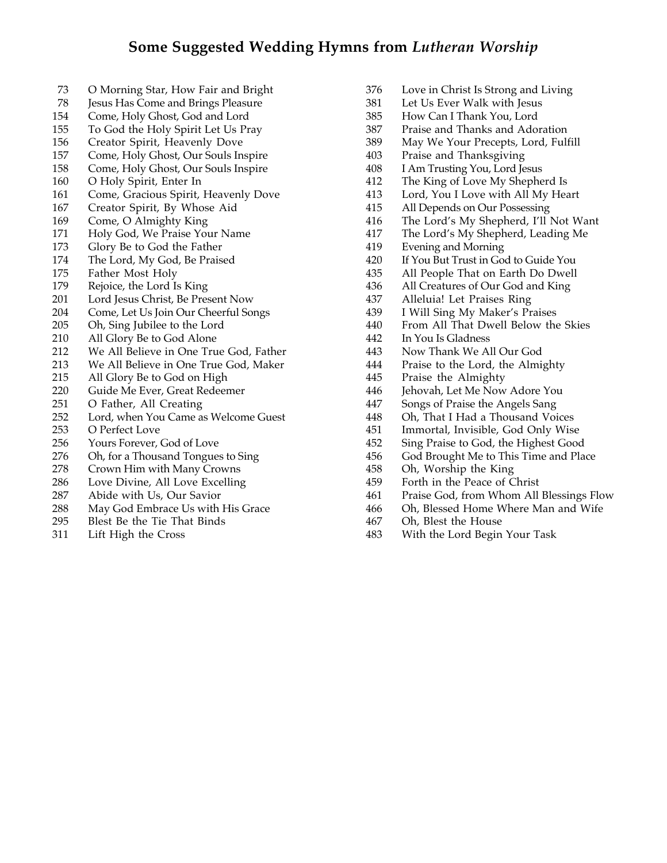- O Morning Star, How Fair and Bright
- Jesus Has Come and Brings Pleasure
- Come, Holy Ghost, God and Lord
- To God the Holy Spirit Let Us Pray
- Creator Spirit, Heavenly Dove
- Come, Holy Ghost, Our Souls Inspire
- Come, Holy Ghost, Our Souls Inspire
- O Holy Spirit, Enter In
- Come, Gracious Spirit, Heavenly Dove
- Creator Spirit, By Whose Aid
- Come, O Almighty King
- Holy God, We Praise Your Name
- Glory Be to God the Father
- The Lord, My God, Be Praised
- Father Most Holy
- Rejoice, the Lord Is King
- Lord Jesus Christ, Be Present Now
- Come, Let Us Join Our Cheerful Songs
- Oh, Sing Jubilee to the Lord
- All Glory Be to God Alone
- We All Believe in One True God, Father
- We All Believe in One True God, Maker
- All Glory Be to God on High
- Guide Me Ever, Great Redeemer
- O Father, All Creating
- Lord, when You Came as Welcome Guest
- O Perfect Love
- Yours Forever, God of Love
- Oh, for a Thousand Tongues to Sing
- Crown Him with Many Crowns
- Love Divine, All Love Excelling
- Abide with Us, Our Savior
- May God Embrace Us with His Grace
- Blest Be the Tie That Binds
- Lift High the Cross
- Love in Christ Is Strong and Living
- Let Us Ever Walk with Jesus
- How Can I Thank You, Lord
- Praise and Thanks and Adoration
- May We Your Precepts, Lord, Fulfill
- 403 Praise and Thanksgiving<br>408 I Am Trusting You, Lord Je
- I Am Trusting You, Lord Jesus
- The King of Love My Shepherd Is
- Lord, You I Love with All My Heart
- All Depends on Our Possessing
- 
- 416 The Lord's My Shepherd, I'll Not Want<br>417 The Lord's My Shepherd, Leading Me 417 The Lord's My Shepherd, Leading Me<br>419 Evening and Morning
- Evening and Morning
- If You But Trust in God to Guide You
- All People That on Earth Do Dwell
- All Creatures of Our God and King
- 437 Alleluia! Let Praises Ring<br>439 I Will Sing My Maker's Pr
- I Will Sing My Maker's Praises
- 440 From All That Dwell Below the Skies<br>442 In You Is Gladness
- In You Is Gladness
- Now Thank We All Our God
- Praise to the Lord, the Almighty
- Praise the Almighty
- Jehovah, Let Me Now Adore You
- Songs of Praise the Angels Sang
- Oh, That I Had a Thousand Voices
- Immortal, Invisible, God Only Wise
- Sing Praise to God, the Highest Good
- God Brought Me to This Time and Place
- Oh, Worship the King
- Forth in the Peace of Christ
- Praise God, from Whom All Blessings Flow
- 466 Oh, Blessed Home Where Man and Wife<br>467 Oh, Blest the House
- Oh, Blest the House
- With the Lord Begin Your Task